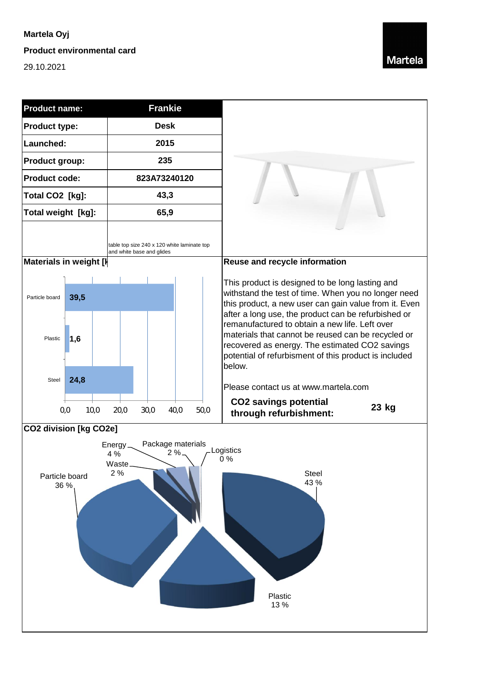## **Martela Oyj**

**Product environmental card**

29.10.2021



| <b>Product name:</b>                                                                                                                                                           | <b>Frankie</b>                                                           |                                                                                                                                                                                                                                                                                                                                                                                                                                           |
|--------------------------------------------------------------------------------------------------------------------------------------------------------------------------------|--------------------------------------------------------------------------|-------------------------------------------------------------------------------------------------------------------------------------------------------------------------------------------------------------------------------------------------------------------------------------------------------------------------------------------------------------------------------------------------------------------------------------------|
| Product type:                                                                                                                                                                  | <b>Desk</b>                                                              |                                                                                                                                                                                                                                                                                                                                                                                                                                           |
| Launched:                                                                                                                                                                      | 2015                                                                     |                                                                                                                                                                                                                                                                                                                                                                                                                                           |
| Product group:                                                                                                                                                                 | 235                                                                      |                                                                                                                                                                                                                                                                                                                                                                                                                                           |
| <b>Product code:</b>                                                                                                                                                           | 823A73240120                                                             |                                                                                                                                                                                                                                                                                                                                                                                                                                           |
| Total CO2 [kg]:                                                                                                                                                                | 43,3                                                                     |                                                                                                                                                                                                                                                                                                                                                                                                                                           |
| Total weight [kg]:                                                                                                                                                             | 65,9                                                                     |                                                                                                                                                                                                                                                                                                                                                                                                                                           |
|                                                                                                                                                                                | table top size 240 x 120 white laminate top<br>and white base and glides |                                                                                                                                                                                                                                                                                                                                                                                                                                           |
| Materials in weight [I]                                                                                                                                                        |                                                                          | Reuse and recycle information                                                                                                                                                                                                                                                                                                                                                                                                             |
| 39,5<br>Particle board<br>1,6<br>Plastic                                                                                                                                       |                                                                          | This product is designed to be long lasting and<br>withstand the test of time. When you no longer need<br>this product, a new user can gain value from it. Even<br>after a long use, the product can be refurbished or<br>remanufactured to obtain a new life. Left over<br>materials that cannot be reused can be recycled or<br>recovered as energy. The estimated CO2 savings<br>potential of refurbisment of this product is included |
| 24,8<br>Steel<br>0,0<br>10,0                                                                                                                                                   | 20,0<br>30,0<br>40,0<br>50,0                                             | below.<br>Please contact us at www.martela.com<br><b>CO2 savings potential</b><br>23 kg<br>through refurbishment:                                                                                                                                                                                                                                                                                                                         |
| <b>CO2 division [kg CO2e]</b><br>Package materials<br>$Energy -$<br>Logistics<br>2%<br>4 %<br>0%<br>Waste.<br>2%<br>Steel<br>Particle board<br>43 %<br>36 %<br>Plastic<br>13 % |                                                                          |                                                                                                                                                                                                                                                                                                                                                                                                                                           |